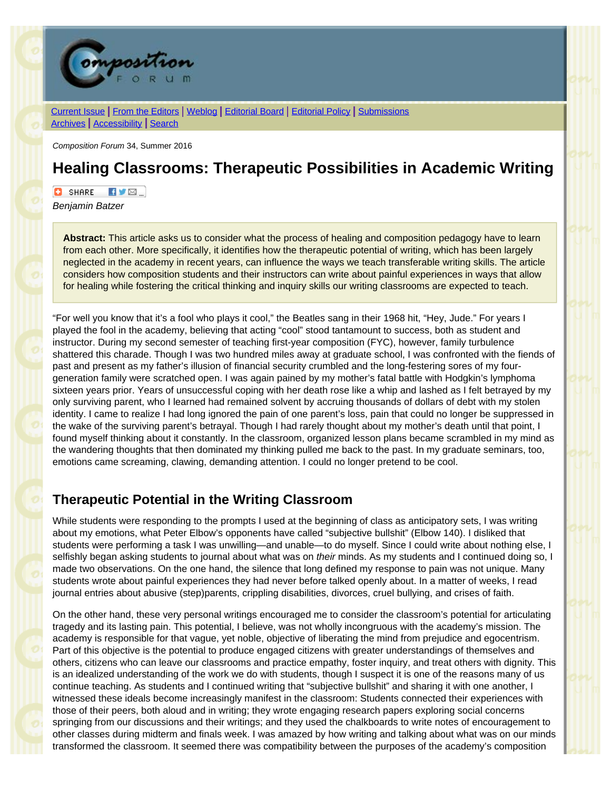

[Current Issue](http://compositionforum.com/issue/34/) | From the [Editors](http://compositionforum.com/issue/34/from-the-editors.php) | [Weblog](http://compositionforum.com/blog/) | [Editorial](http://compositionforum.com/editorial-policy.php) Board | Editorial Policy | [Submissions](http://compositionforum.com/submissions.php) [Archives](http://compositionforum.com/archives.php) | [Accessibility](http://compositionforum.com/accessibility.php) | [Search](http://compositionforum.com/search.php)

*Composition Forum* 34, Summer 2016

# **Healing Classrooms: Therapeutic Possibilities in Academic Writing**

**C** SHARE **EVE** 

*Benjamin Batzer*

**Abstract:** This article asks us to consider what the process of healing and composition pedagogy have to learn from each other. More specifically, it identifies how the therapeutic potential of writing, which has been largely neglected in the academy in recent years, can influence the ways we teach transferable writing skills. The article considers how composition students and their instructors can write about painful experiences in ways that allow for healing while fostering the critical thinking and inquiry skills our writing classrooms are expected to teach.

"For well you know that it's a fool who plays it cool," the Beatles sang in their 1968 hit, "Hey, Jude." For years I played the fool in the academy, believing that acting "cool" stood tantamount to success, both as student and instructor. During my second semester of teaching first-year composition (FYC), however, family turbulence shattered this charade. Though I was two hundred miles away at graduate school, I was confronted with the fiends of past and present as my father's illusion of financial security crumbled and the long-festering sores of my fourgeneration family were scratched open. I was again pained by my mother's fatal battle with Hodgkin's lymphoma sixteen years prior. Years of unsuccessful coping with her death rose like a whip and lashed as I felt betrayed by my only surviving parent, who I learned had remained solvent by accruing thousands of dollars of debt with my stolen identity. I came to realize I had long ignored the pain of one parent's loss, pain that could no longer be suppressed in the wake of the surviving parent's betrayal. Though I had rarely thought about my mother's death until that point, I found myself thinking about it constantly. In the classroom, organized lesson plans became scrambled in my mind as the wandering thoughts that then dominated my thinking pulled me back to the past. In my graduate seminars, too, emotions came screaming, clawing, demanding attention. I could no longer pretend to be cool.

## **Therapeutic Potential in the Writing Classroom**

While students were responding to the prompts I used at the beginning of class as anticipatory sets, I was writing about my emotions, what Peter Elbow's opponents have called "subjective bullshit" (Elbow 140). I disliked that students were performing a task I was unwilling—and unable—to do myself. Since I could write about nothing else, I selfishly began asking students to journal about what was on *their* minds. As my students and I continued doing so, I made two observations. On the one hand, the silence that long defined my response to pain was not unique. Many students wrote about painful experiences they had never before talked openly about. In a matter of weeks, I read journal entries about abusive (step)parents, crippling disabilities, divorces, cruel bullying, and crises of faith.

On the other hand, these very personal writings encouraged me to consider the classroom's potential for articulating tragedy and its lasting pain. This potential, I believe, was not wholly incongruous with the academy's mission. The academy is responsible for that vague, yet noble, objective of liberating the mind from prejudice and egocentrism. Part of this objective is the potential to produce engaged citizens with greater understandings of themselves and others, citizens who can leave our classrooms and practice empathy, foster inquiry, and treat others with dignity. This is an idealized understanding of the work we do with students, though I suspect it is one of the reasons many of us continue teaching. As students and I continued writing that "subjective bullshit" and sharing it with one another, I witnessed these ideals become increasingly manifest in the classroom: Students connected their experiences with those of their peers, both aloud and in writing; they wrote engaging research papers exploring social concerns springing from our discussions and their writings; and they used the chalkboards to write notes of encouragement to other classes during midterm and finals week. I was amazed by how writing and talking about what was on our minds transformed the classroom. It seemed there was compatibility between the purposes of the academy's composition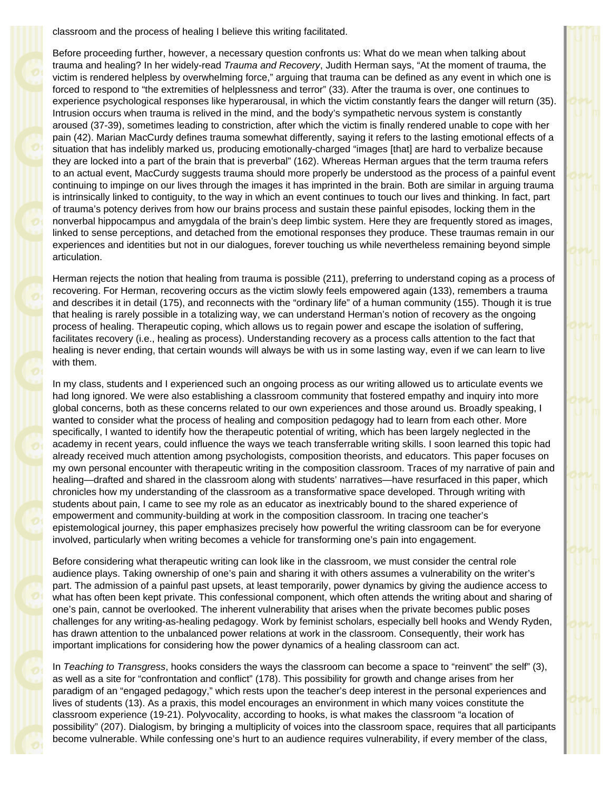classroom and the process of healing I believe this writing facilitated.

Before proceeding further, however, a necessary question confronts us: What do we mean when talking about trauma and healing? In her widely-read *Trauma and Recovery*, Judith Herman says, "At the moment of trauma, the victim is rendered helpless by overwhelming force," arguing that trauma can be defined as any event in which one is forced to respond to "the extremities of helplessness and terror" (33). After the trauma is over, one continues to experience psychological responses like hyperarousal, in which the victim constantly fears the danger will return (35). Intrusion occurs when trauma is relived in the mind, and the body's sympathetic nervous system is constantly aroused (37-39), sometimes leading to constriction, after which the victim is finally rendered unable to cope with her pain (42). Marian MacCurdy defines trauma somewhat differently, saying it refers to the lasting emotional effects of a situation that has indelibly marked us, producing emotionally-charged "images [that] are hard to verbalize because they are locked into a part of the brain that is preverbal" (162). Whereas Herman argues that the term trauma refers to an actual event, MacCurdy suggests trauma should more properly be understood as the process of a painful event continuing to impinge on our lives through the images it has imprinted in the brain. Both are similar in arguing trauma is intrinsically linked to contiguity, to the way in which an event continues to touch our lives and thinking. In fact, part of trauma's potency derives from how our brains process and sustain these painful episodes, locking them in the nonverbal hippocampus and amygdala of the brain's deep limbic system. Here they are frequently stored as images, linked to sense perceptions, and detached from the emotional responses they produce. These traumas remain in our experiences and identities but not in our dialogues, forever touching us while nevertheless remaining beyond simple articulation.

Herman rejects the notion that healing from trauma is possible (211), preferring to understand coping as a process of recovering. For Herman, recovering occurs as the victim slowly feels empowered again (133), remembers a trauma and describes it in detail (175), and reconnects with the "ordinary life" of a human community (155). Though it is true that healing is rarely possible in a totalizing way, we can understand Herman's notion of recovery as the ongoing process of healing. Therapeutic coping, which allows us to regain power and escape the isolation of suffering, facilitates recovery (i.e., healing as process). Understanding recovery as a process calls attention to the fact that healing is never ending, that certain wounds will always be with us in some lasting way, even if we can learn to live with them.

In my class, students and I experienced such an ongoing process as our writing allowed us to articulate events we had long ignored. We were also establishing a classroom community that fostered empathy and inquiry into more global concerns, both as these concerns related to our own experiences and those around us. Broadly speaking, I wanted to consider what the process of healing and composition pedagogy had to learn from each other. More specifically, I wanted to identify how the therapeutic potential of writing, which has been largely neglected in the academy in recent years, could influence the ways we teach transferrable writing skills. I soon learned this topic had already received much attention among psychologists, composition theorists, and educators. This paper focuses on my own personal encounter with therapeutic writing in the composition classroom. Traces of my narrative of pain and healing—drafted and shared in the classroom along with students' narratives—have resurfaced in this paper, which chronicles how my understanding of the classroom as a transformative space developed. Through writing with students about pain, I came to see my role as an educator as inextricably bound to the shared experience of empowerment and community-building at work in the composition classroom. In tracing one teacher's epistemological journey, this paper emphasizes precisely how powerful the writing classroom can be for everyone involved, particularly when writing becomes a vehicle for transforming one's pain into engagement.

Before considering what therapeutic writing can look like in the classroom, we must consider the central role audience plays. Taking ownership of one's pain and sharing it with others assumes a vulnerability on the writer's part. The admission of a painful past upsets, at least temporarily, power dynamics by giving the audience access to what has often been kept private. This confessional component, which often attends the writing about and sharing of one's pain, cannot be overlooked. The inherent vulnerability that arises when the private becomes public poses challenges for any writing-as-healing pedagogy. Work by feminist scholars, especially bell hooks and Wendy Ryden, has drawn attention to the unbalanced power relations at work in the classroom. Consequently, their work has important implications for considering how the power dynamics of a healing classroom can act.

In *Teaching to Transgress*, hooks considers the ways the classroom can become a space to "reinvent" the self" (3), as well as a site for "confrontation and conflict" (178). This possibility for growth and change arises from her paradigm of an "engaged pedagogy," which rests upon the teacher's deep interest in the personal experiences and lives of students (13). As a praxis, this model encourages an environment in which many voices constitute the classroom experience (19-21). Polyvocality, according to hooks, is what makes the classroom "a location of possibility" (207). Dialogism, by bringing a multiplicity of voices into the classroom space, requires that all participants become vulnerable. While confessing one's hurt to an audience requires vulnerability, if every member of the class,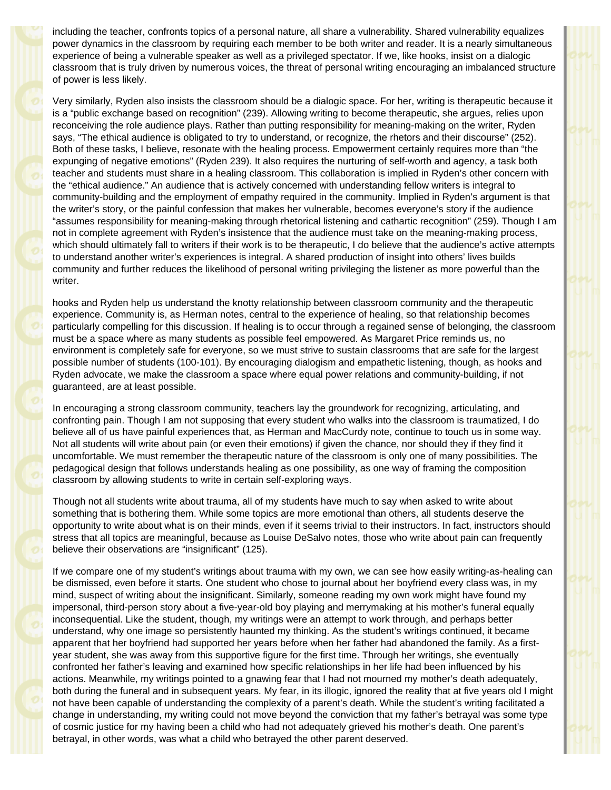including the teacher, confronts topics of a personal nature, all share a vulnerability. Shared vulnerability equalizes power dynamics in the classroom by requiring each member to be both writer and reader. It is a nearly simultaneous experience of being a vulnerable speaker as well as a privileged spectator. If we, like hooks, insist on a dialogic classroom that is truly driven by numerous voices, the threat of personal writing encouraging an imbalanced structure of power is less likely.

Very similarly, Ryden also insists the classroom should be a dialogic space. For her, writing is therapeutic because it is a "public exchange based on recognition" (239). Allowing writing to become therapeutic, she argues, relies upon reconceiving the role audience plays. Rather than putting responsibility for meaning-making on the writer, Ryden says, "The ethical audience is obligated to try to understand, or recognize, the rhetors and their discourse" (252). Both of these tasks, I believe, resonate with the healing process. Empowerment certainly requires more than "the expunging of negative emotions" (Ryden 239). It also requires the nurturing of self-worth and agency, a task both teacher and students must share in a healing classroom. This collaboration is implied in Ryden's other concern with the "ethical audience." An audience that is actively concerned with understanding fellow writers is integral to community-building and the employment of empathy required in the community. Implied in Ryden's argument is that the writer's story, or the painful confession that makes her vulnerable, becomes everyone's story if the audience "assumes responsibility for meaning-making through rhetorical listening and cathartic recognition" (259). Though I am not in complete agreement with Ryden's insistence that the audience must take on the meaning-making process, which should ultimately fall to writers if their work is to be therapeutic, I do believe that the audience's active attempts to understand another writer's experiences is integral. A shared production of insight into others' lives builds community and further reduces the likelihood of personal writing privileging the listener as more powerful than the writer.

hooks and Ryden help us understand the knotty relationship between classroom community and the therapeutic experience. Community is, as Herman notes, central to the experience of healing, so that relationship becomes particularly compelling for this discussion. If healing is to occur through a regained sense of belonging, the classroom must be a space where as many students as possible feel empowered. As Margaret Price reminds us, no environment is completely safe for everyone, so we must strive to sustain classrooms that are safe for the largest possible number of students (100-101). By encouraging dialogism and empathetic listening, though, as hooks and Ryden advocate, we make the classroom a space where equal power relations and community-building, if not guaranteed, are at least possible.

In encouraging a strong classroom community, teachers lay the groundwork for recognizing, articulating, and confronting pain. Though I am not supposing that every student who walks into the classroom is traumatized, I do believe all of us have painful experiences that, as Herman and MacCurdy note, continue to touch us in some way. Not all students will write about pain (or even their emotions) if given the chance, nor should they if they find it uncomfortable. We must remember the therapeutic nature of the classroom is only one of many possibilities. The pedagogical design that follows understands healing as one possibility, as one way of framing the composition classroom by allowing students to write in certain self-exploring ways.

Though not all students write about trauma, all of my students have much to say when asked to write about something that is bothering them. While some topics are more emotional than others, all students deserve the opportunity to write about what is on their minds, even if it seems trivial to their instructors. In fact, instructors should stress that all topics are meaningful, because as Louise DeSalvo notes, those who write about pain can frequently believe their observations are "insignificant" (125).

If we compare one of my student's writings about trauma with my own, we can see how easily writing-as-healing can be dismissed, even before it starts. One student who chose to journal about her boyfriend every class was, in my mind, suspect of writing about the insignificant. Similarly, someone reading my own work might have found my impersonal, third-person story about a five-year-old boy playing and merrymaking at his mother's funeral equally inconsequential. Like the student, though, my writings were an attempt to work through, and perhaps better understand, why one image so persistently haunted my thinking. As the student's writings continued, it became apparent that her boyfriend had supported her years before when her father had abandoned the family. As a firstyear student, she was away from this supportive figure for the first time. Through her writings, she eventually confronted her father's leaving and examined how specific relationships in her life had been influenced by his actions. Meanwhile, my writings pointed to a gnawing fear that I had not mourned my mother's death adequately, both during the funeral and in subsequent years. My fear, in its illogic, ignored the reality that at five years old I might not have been capable of understanding the complexity of a parent's death. While the student's writing facilitated a change in understanding, my writing could not move beyond the conviction that my father's betrayal was some type of cosmic justice for my having been a child who had not adequately grieved his mother's death. One parent's betrayal, in other words, was what a child who betrayed the other parent deserved.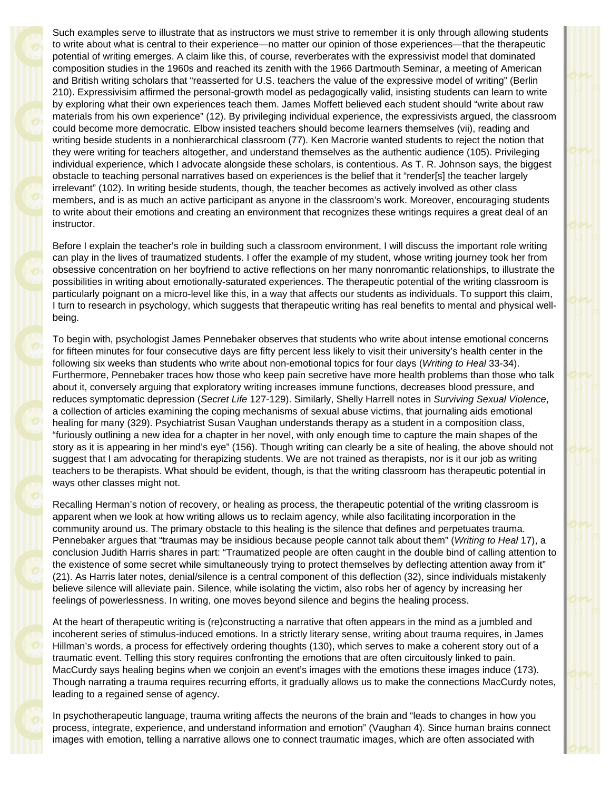Such examples serve to illustrate that as instructors we must strive to remember it is only through allowing students to write about what is central to their experience—no matter our opinion of those experiences—that the therapeutic potential of writing emerges. A claim like this, of course, reverberates with the expressivist model that dominated composition studies in the 1960s and reached its zenith with the 1966 Dartmouth Seminar, a meeting of American and British writing scholars that "reasserted for U.S. teachers the value of the expressive model of writing" (Berlin 210). Expressivisim affirmed the personal-growth model as pedagogically valid, insisting students can learn to write by exploring what their own experiences teach them. James Moffett believed each student should "write about raw materials from his own experience" (12). By privileging individual experience, the expressivists argued, the classroom could become more democratic. Elbow insisted teachers should become learners themselves (vii), reading and writing beside students in a nonhierarchical classroom (77). Ken Macrorie wanted students to reject the notion that they were writing for teachers altogether, and understand themselves as the authentic audience (105). Privileging individual experience, which I advocate alongside these scholars, is contentious. As T. R. Johnson says, the biggest obstacle to teaching personal narratives based on experiences is the belief that it "render[s] the teacher largely irrelevant" (102). In writing beside students, though, the teacher becomes as actively involved as other class members, and is as much an active participant as anyone in the classroom's work. Moreover, encouraging students to write about their emotions and creating an environment that recognizes these writings requires a great deal of an instructor.

Before I explain the teacher's role in building such a classroom environment, I will discuss the important role writing can play in the lives of traumatized students. I offer the example of my student, whose writing journey took her from obsessive concentration on her boyfriend to active reflections on her many nonromantic relationships, to illustrate the possibilities in writing about emotionally-saturated experiences. The therapeutic potential of the writing classroom is particularly poignant on a micro-level like this, in a way that affects our students as individuals. To support this claim, I turn to research in psychology, which suggests that therapeutic writing has real benefits to mental and physical wellbeing.

To begin with, psychologist James Pennebaker observes that students who write about intense emotional concerns for fifteen minutes for four consecutive days are fifty percent less likely to visit their university's health center in the following six weeks than students who write about non-emotional topics for four days (*Writing to Heal* 33-34). Furthermore, Pennebaker traces how those who keep pain secretive have more health problems than those who talk about it, conversely arguing that exploratory writing increases immune functions, decreases blood pressure, and reduces symptomatic depression (*Secret Life* 127-129). Similarly, Shelly Harrell notes in *Surviving Sexual Violence*, a collection of articles examining the coping mechanisms of sexual abuse victims, that journaling aids emotional healing for many (329). Psychiatrist Susan Vaughan understands therapy as a student in a composition class, "furiously outlining a new idea for a chapter in her novel, with only enough time to capture the main shapes of the story as it is appearing in her mind's eye" (156). Though writing can clearly be a site of healing, the above should not suggest that I am advocating for therapizing students. We are not trained as therapists, nor is it our job as writing teachers to be therapists. What should be evident, though, is that the writing classroom has therapeutic potential in ways other classes might not.

Recalling Herman's notion of recovery, or healing as process, the therapeutic potential of the writing classroom is apparent when we look at how writing allows us to reclaim agency, while also facilitating incorporation in the community around us. The primary obstacle to this healing is the silence that defines and perpetuates trauma. Pennebaker argues that "traumas may be insidious because people cannot talk about them" (*Writing to Heal* 17), a conclusion Judith Harris shares in part: "Traumatized people are often caught in the double bind of calling attention to the existence of some secret while simultaneously trying to protect themselves by deflecting attention away from it" (21). As Harris later notes, denial/silence is a central component of this deflection (32), since individuals mistakenly believe silence will alleviate pain. Silence, while isolating the victim, also robs her of agency by increasing her feelings of powerlessness. In writing, one moves beyond silence and begins the healing process.

At the heart of therapeutic writing is (re)constructing a narrative that often appears in the mind as a jumbled and incoherent series of stimulus-induced emotions. In a strictly literary sense, writing about trauma requires, in James Hillman's words, a process for effectively ordering thoughts (130), which serves to make a coherent story out of a traumatic event. Telling this story requires confronting the emotions that are often circuitously linked to pain. MacCurdy says healing begins when we conjoin an event's images with the emotions these images induce (173). Though narrating a trauma requires recurring efforts, it gradually allows us to make the connections MacCurdy notes, leading to a regained sense of agency.

In psychotherapeutic language, trauma writing affects the neurons of the brain and "leads to changes in how you process, integrate, experience, and understand information and emotion" (Vaughan 4). Since human brains connect images with emotion, telling a narrative allows one to connect traumatic images, which are often associated with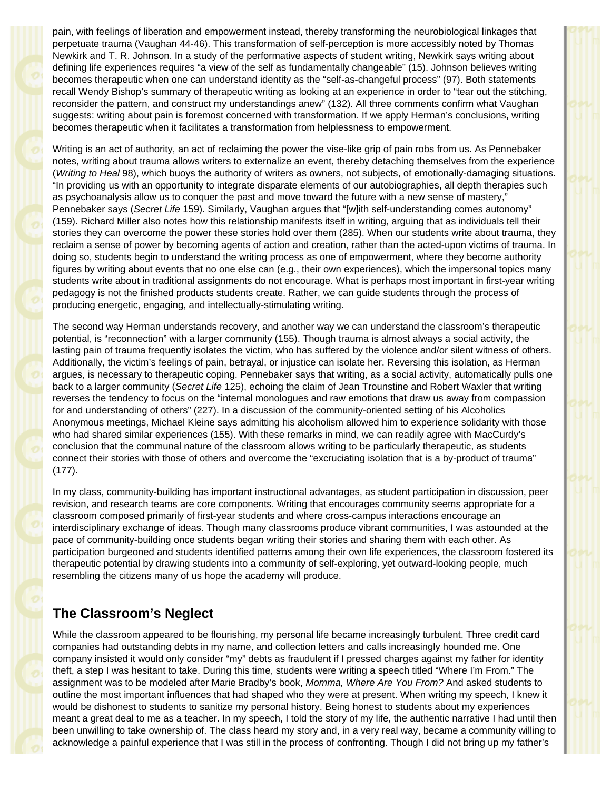pain, with feelings of liberation and empowerment instead, thereby transforming the neurobiological linkages that perpetuate trauma (Vaughan 44-46). This transformation of self-perception is more accessibly noted by Thomas Newkirk and T. R. Johnson. In a study of the performative aspects of student writing, Newkirk says writing about defining life experiences requires "a view of the self as fundamentally changeable" (15). Johnson believes writing becomes therapeutic when one can understand identity as the "self-as-changeful process" (97). Both statements recall Wendy Bishop's summary of therapeutic writing as looking at an experience in order to "tear out the stitching, reconsider the pattern, and construct my understandings anew" (132). All three comments confirm what Vaughan suggests: writing about pain is foremost concerned with transformation. If we apply Herman's conclusions, writing becomes therapeutic when it facilitates a transformation from helplessness to empowerment.

Writing is an act of authority, an act of reclaiming the power the vise-like grip of pain robs from us. As Pennebaker notes, writing about trauma allows writers to externalize an event, thereby detaching themselves from the experience (*Writing to Heal* 98), which buoys the authority of writers as owners, not subjects, of emotionally-damaging situations. "In providing us with an opportunity to integrate disparate elements of our autobiographies, all depth therapies such as psychoanalysis allow us to conquer the past and move toward the future with a new sense of mastery," Pennebaker says (*Secret Life* 159). Similarly, Vaughan argues that "[w]ith self-understanding comes autonomy" (159). Richard Miller also notes how this relationship manifests itself in writing, arguing that as individuals tell their stories they can overcome the power these stories hold over them (285). When our students write about trauma, they reclaim a sense of power by becoming agents of action and creation, rather than the acted-upon victims of trauma. In doing so, students begin to understand the writing process as one of empowerment, where they become authority figures by writing about events that no one else can (e.g., their own experiences), which the impersonal topics many students write about in traditional assignments do not encourage. What is perhaps most important in first-year writing pedagogy is not the finished products students create. Rather, we can guide students through the process of producing energetic, engaging, and intellectually-stimulating writing.

The second way Herman understands recovery, and another way we can understand the classroom's therapeutic potential, is "reconnection" with a larger community (155). Though trauma is almost always a social activity, the lasting pain of trauma frequently isolates the victim, who has suffered by the violence and/or silent witness of others. Additionally, the victim's feelings of pain, betrayal, or injustice can isolate her. Reversing this isolation, as Herman argues, is necessary to therapeutic coping. Pennebaker says that writing, as a social activity, automatically pulls one back to a larger community (*Secret Life* 125), echoing the claim of Jean Trounstine and Robert Waxler that writing reverses the tendency to focus on the "internal monologues and raw emotions that draw us away from compassion for and understanding of others" (227). In a discussion of the community-oriented setting of his Alcoholics Anonymous meetings, Michael Kleine says admitting his alcoholism allowed him to experience solidarity with those who had shared similar experiences (155). With these remarks in mind, we can readily agree with MacCurdy's conclusion that the communal nature of the classroom allows writing to be particularly therapeutic, as students connect their stories with those of others and overcome the "excruciating isolation that is a by-product of trauma" (177).

In my class, community-building has important instructional advantages, as student participation in discussion, peer revision, and research teams are core components. Writing that encourages community seems appropriate for a classroom composed primarily of first-year students and where cross-campus interactions encourage an interdisciplinary exchange of ideas. Though many classrooms produce vibrant communities, I was astounded at the pace of community-building once students began writing their stories and sharing them with each other. As participation burgeoned and students identified patterns among their own life experiences, the classroom fostered its therapeutic potential by drawing students into a community of self-exploring, yet outward-looking people, much resembling the citizens many of us hope the academy will produce.

## **The Classroom's Neglect**

While the classroom appeared to be flourishing, my personal life became increasingly turbulent. Three credit card companies had outstanding debts in my name, and collection letters and calls increasingly hounded me. One company insisted it would only consider "my" debts as fraudulent if I pressed charges against my father for identity theft, a step I was hesitant to take. During this time, students were writing a speech titled "Where I'm From." The assignment was to be modeled after Marie Bradby's book, *Momma, Where Are You From?* And asked students to outline the most important influences that had shaped who they were at present. When writing my speech, I knew it would be dishonest to students to sanitize my personal history. Being honest to students about my experiences meant a great deal to me as a teacher. In my speech, I told the story of my life, the authentic narrative I had until then been unwilling to take ownership of. The class heard my story and, in a very real way, became a community willing to acknowledge a painful experience that I was still in the process of confronting. Though I did not bring up my father's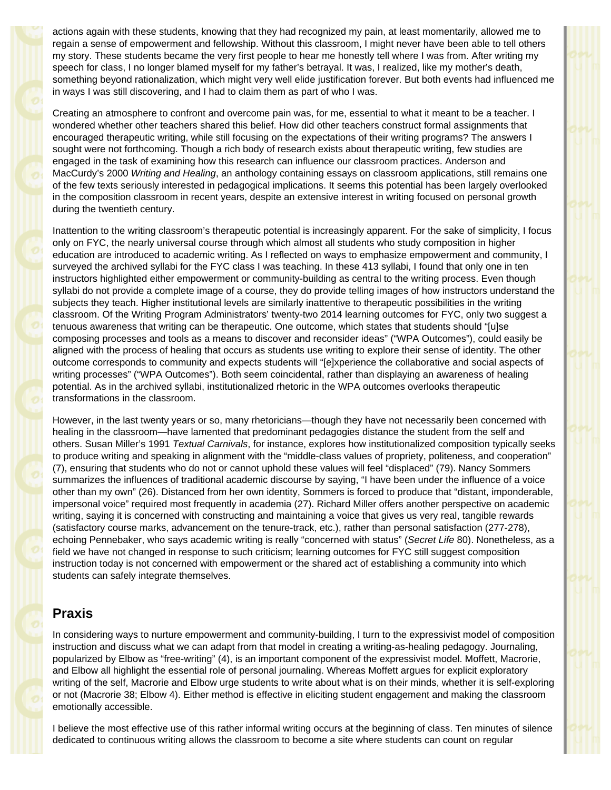actions again with these students, knowing that they had recognized my pain, at least momentarily, allowed me to regain a sense of empowerment and fellowship. Without this classroom, I might never have been able to tell others my story. These students became the very first people to hear me honestly tell where I was from. After writing my speech for class, I no longer blamed myself for my father's betrayal. It was, I realized, like my mother's death, something beyond rationalization, which might very well elide justification forever. But both events had influenced me in ways I was still discovering, and I had to claim them as part of who I was.

Creating an atmosphere to confront and overcome pain was, for me, essential to what it meant to be a teacher. I wondered whether other teachers shared this belief. How did other teachers construct formal assignments that encouraged therapeutic writing, while still focusing on the expectations of their writing programs? The answers I sought were not forthcoming. Though a rich body of research exists about therapeutic writing, few studies are engaged in the task of examining how this research can influence our classroom practices. Anderson and MacCurdy's 2000 *Writing and Healing*, an anthology containing essays on classroom applications, still remains one of the few texts seriously interested in pedagogical implications. It seems this potential has been largely overlooked in the composition classroom in recent years, despite an extensive interest in writing focused on personal growth during the twentieth century.

Inattention to the writing classroom's therapeutic potential is increasingly apparent. For the sake of simplicity, I focus only on FYC, the nearly universal course through which almost all students who study composition in higher education are introduced to academic writing. As I reflected on ways to emphasize empowerment and community, I surveyed the archived syllabi for the FYC class I was teaching. In these 413 syllabi, I found that only one in ten instructors highlighted either empowerment or community-building as central to the writing process. Even though syllabi do not provide a complete image of a course, they do provide telling images of how instructors understand the subjects they teach. Higher institutional levels are similarly inattentive to therapeutic possibilities in the writing classroom. Of the Writing Program Administrators' twenty-two 2014 learning outcomes for FYC, only two suggest a tenuous awareness that writing can be therapeutic. One outcome, which states that students should "[u]se composing processes and tools as a means to discover and reconsider ideas" ("WPA Outcomes"), could easily be aligned with the process of healing that occurs as students use writing to explore their sense of identity. The other outcome corresponds to community and expects students will "[e]xperience the collaborative and social aspects of writing processes" ("WPA Outcomes"). Both seem coincidental, rather than displaying an awareness of healing potential. As in the archived syllabi, institutionalized rhetoric in the WPA outcomes overlooks therapeutic transformations in the classroom.

However, in the last twenty years or so, many rhetoricians—though they have not necessarily been concerned with healing in the classroom—have lamented that predominant pedagogies distance the student from the self and others. Susan Miller's 1991 *Textual Carnivals*, for instance, explores how institutionalized composition typically seeks to produce writing and speaking in alignment with the "middle-class values of propriety, politeness, and cooperation" (7), ensuring that students who do not or cannot uphold these values will feel "displaced" (79). Nancy Sommers summarizes the influences of traditional academic discourse by saying, "I have been under the influence of a voice other than my own" (26). Distanced from her own identity, Sommers is forced to produce that "distant, imponderable, impersonal voice" required most frequently in academia (27). Richard Miller offers another perspective on academic writing, saying it is concerned with constructing and maintaining a voice that gives us very real, tangible rewards (satisfactory course marks, advancement on the tenure-track, etc.), rather than personal satisfaction (277-278), echoing Pennebaker, who says academic writing is really "concerned with status" (*Secret Life* 80). Nonetheless, as a field we have not changed in response to such criticism; learning outcomes for FYC still suggest composition instruction today is not concerned with empowerment or the shared act of establishing a community into which students can safely integrate themselves.

## **Praxis**

In considering ways to nurture empowerment and community-building, I turn to the expressivist model of composition instruction and discuss what we can adapt from that model in creating a writing-as-healing pedagogy. Journaling, popularized by Elbow as "free-writing" (4), is an important component of the expressivist model. Moffett, Macrorie, and Elbow all highlight the essential role of personal journaling. Whereas Moffett argues for explicit exploratory writing of the self, Macrorie and Elbow urge students to write about what is on their minds, whether it is self-exploring or not (Macrorie 38; Elbow 4). Either method is effective in eliciting student engagement and making the classroom emotionally accessible.

I believe the most effective use of this rather informal writing occurs at the beginning of class. Ten minutes of silence dedicated to continuous writing allows the classroom to become a site where students can count on regular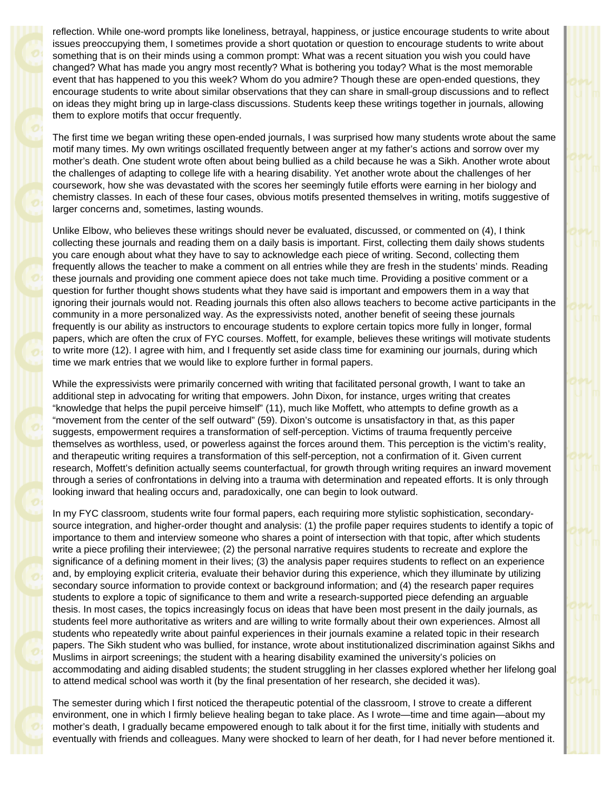reflection. While one-word prompts like loneliness, betrayal, happiness, or justice encourage students to write about issues preoccupying them, I sometimes provide a short quotation or question to encourage students to write about something that is on their minds using a common prompt: What was a recent situation you wish you could have changed? What has made you angry most recently? What is bothering you today? What is the most memorable event that has happened to you this week? Whom do you admire? Though these are open-ended questions, they encourage students to write about similar observations that they can share in small-group discussions and to reflect on ideas they might bring up in large-class discussions. Students keep these writings together in journals, allowing them to explore motifs that occur frequently.

The first time we began writing these open-ended journals, I was surprised how many students wrote about the same motif many times. My own writings oscillated frequently between anger at my father's actions and sorrow over my mother's death. One student wrote often about being bullied as a child because he was a Sikh. Another wrote about the challenges of adapting to college life with a hearing disability. Yet another wrote about the challenges of her coursework, how she was devastated with the scores her seemingly futile efforts were earning in her biology and chemistry classes. In each of these four cases, obvious motifs presented themselves in writing, motifs suggestive of larger concerns and, sometimes, lasting wounds.

Unlike Elbow, who believes these writings should never be evaluated, discussed, or commented on (4), I think collecting these journals and reading them on a daily basis is important. First, collecting them daily shows students you care enough about what they have to say to acknowledge each piece of writing. Second, collecting them frequently allows the teacher to make a comment on all entries while they are fresh in the students' minds. Reading these journals and providing one comment apiece does not take much time. Providing a positive comment or a question for further thought shows students what they have said is important and empowers them in a way that ignoring their journals would not. Reading journals this often also allows teachers to become active participants in the community in a more personalized way. As the expressivists noted, another benefit of seeing these journals frequently is our ability as instructors to encourage students to explore certain topics more fully in longer, formal papers, which are often the crux of FYC courses. Moffett, for example, believes these writings will motivate students to write more (12). I agree with him, and I frequently set aside class time for examining our journals, during which time we mark entries that we would like to explore further in formal papers.

While the expressivists were primarily concerned with writing that facilitated personal growth, I want to take an additional step in advocating for writing that empowers. John Dixon, for instance, urges writing that creates "knowledge that helps the pupil perceive himself" (11), much like Moffett, who attempts to define growth as a "movement from the center of the self outward" (59). Dixon's outcome is unsatisfactory in that, as this paper suggests, empowerment requires a transformation of self-perception. Victims of trauma frequently perceive themselves as worthless, used, or powerless against the forces around them. This perception is the victim's reality, and therapeutic writing requires a transformation of this self-perception, not a confirmation of it. Given current research, Moffett's definition actually seems counterfactual, for growth through writing requires an inward movement through a series of confrontations in delving into a trauma with determination and repeated efforts. It is only through looking inward that healing occurs and, paradoxically, one can begin to look outward.

In my FYC classroom, students write four formal papers, each requiring more stylistic sophistication, secondarysource integration, and higher-order thought and analysis: (1) the profile paper requires students to identify a topic of importance to them and interview someone who shares a point of intersection with that topic, after which students write a piece profiling their interviewee; (2) the personal narrative requires students to recreate and explore the significance of a defining moment in their lives; (3) the analysis paper requires students to reflect on an experience and, by employing explicit criteria, evaluate their behavior during this experience, which they illuminate by utilizing secondary source information to provide context or background information; and (4) the research paper requires students to explore a topic of significance to them and write a research-supported piece defending an arguable thesis. In most cases, the topics increasingly focus on ideas that have been most present in the daily journals, as students feel more authoritative as writers and are willing to write formally about their own experiences. Almost all students who repeatedly write about painful experiences in their journals examine a related topic in their research papers. The Sikh student who was bullied, for instance, wrote about institutionalized discrimination against Sikhs and Muslims in airport screenings; the student with a hearing disability examined the university's policies on accommodating and aiding disabled students; the student struggling in her classes explored whether her lifelong goal to attend medical school was worth it (by the final presentation of her research, she decided it was).

The semester during which I first noticed the therapeutic potential of the classroom, I strove to create a different environment, one in which I firmly believe healing began to take place. As I wrote—time and time again—about my mother's death, I gradually became empowered enough to talk about it for the first time, initially with students and eventually with friends and colleagues. Many were shocked to learn of her death, for I had never before mentioned it.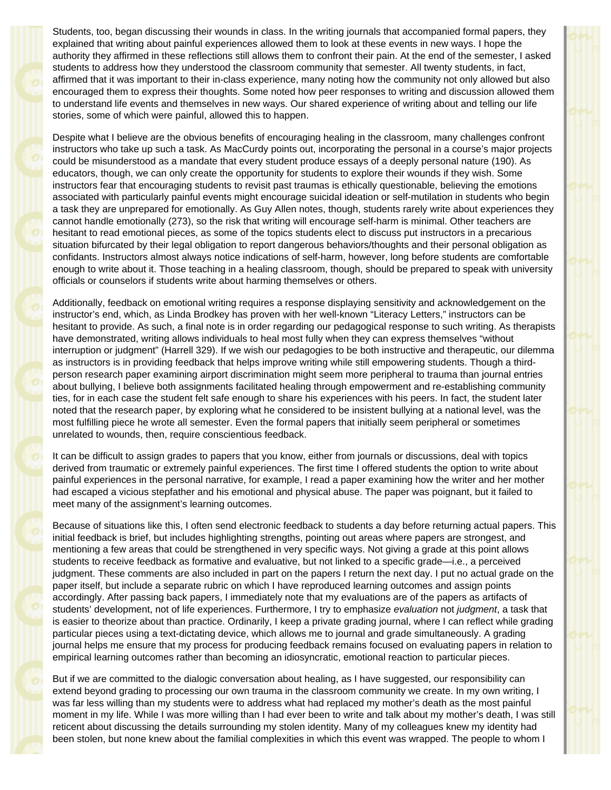Students, too, began discussing their wounds in class. In the writing journals that accompanied formal papers, they explained that writing about painful experiences allowed them to look at these events in new ways. I hope the authority they affirmed in these reflections still allows them to confront their pain. At the end of the semester, I asked students to address how they understood the classroom community that semester. All twenty students, in fact, affirmed that it was important to their in-class experience, many noting how the community not only allowed but also encouraged them to express their thoughts. Some noted how peer responses to writing and discussion allowed them to understand life events and themselves in new ways. Our shared experience of writing about and telling our life stories, some of which were painful, allowed this to happen.

Despite what I believe are the obvious benefits of encouraging healing in the classroom, many challenges confront instructors who take up such a task. As MacCurdy points out, incorporating the personal in a course's major projects could be misunderstood as a mandate that every student produce essays of a deeply personal nature (190). As educators, though, we can only create the opportunity for students to explore their wounds if they wish. Some instructors fear that encouraging students to revisit past traumas is ethically questionable, believing the emotions associated with particularly painful events might encourage suicidal ideation or self-mutilation in students who begin a task they are unprepared for emotionally. As Guy Allen notes, though, students rarely write about experiences they cannot handle emotionally (273), so the risk that writing will encourage self-harm is minimal. Other teachers are hesitant to read emotional pieces, as some of the topics students elect to discuss put instructors in a precarious situation bifurcated by their legal obligation to report dangerous behaviors/thoughts and their personal obligation as confidants. Instructors almost always notice indications of self-harm, however, long before students are comfortable enough to write about it. Those teaching in a healing classroom, though, should be prepared to speak with university officials or counselors if students write about harming themselves or others.

Additionally, feedback on emotional writing requires a response displaying sensitivity and acknowledgement on the instructor's end, which, as Linda Brodkey has proven with her well-known "Literacy Letters," instructors can be hesitant to provide. As such, a final note is in order regarding our pedagogical response to such writing. As therapists have demonstrated, writing allows individuals to heal most fully when they can express themselves "without interruption or judgment" (Harrell 329). If we wish our pedagogies to be both instructive and therapeutic, our dilemma as instructors is in providing feedback that helps improve writing while still empowering students. Though a thirdperson research paper examining airport discrimination might seem more peripheral to trauma than journal entries about bullying, I believe both assignments facilitated healing through empowerment and re-establishing community ties, for in each case the student felt safe enough to share his experiences with his peers. In fact, the student later noted that the research paper, by exploring what he considered to be insistent bullying at a national level, was the most fulfilling piece he wrote all semester. Even the formal papers that initially seem peripheral or sometimes unrelated to wounds, then, require conscientious feedback.

It can be difficult to assign grades to papers that you know, either from journals or discussions, deal with topics derived from traumatic or extremely painful experiences. The first time I offered students the option to write about painful experiences in the personal narrative, for example, I read a paper examining how the writer and her mother had escaped a vicious stepfather and his emotional and physical abuse. The paper was poignant, but it failed to meet many of the assignment's learning outcomes.

Because of situations like this, I often send electronic feedback to students a day before returning actual papers. This initial feedback is brief, but includes highlighting strengths, pointing out areas where papers are strongest, and mentioning a few areas that could be strengthened in very specific ways. Not giving a grade at this point allows students to receive feedback as formative and evaluative, but not linked to a specific grade—i.e., a perceived judgment. These comments are also included in part on the papers I return the next day. I put no actual grade on the paper itself, but include a separate rubric on which I have reproduced learning outcomes and assign points accordingly. After passing back papers, I immediately note that my evaluations are of the papers as artifacts of students' development, not of life experiences. Furthermore, I try to emphasize *evaluation* not *judgment*, a task that is easier to theorize about than practice. Ordinarily, I keep a private grading journal, where I can reflect while grading particular pieces using a text-dictating device, which allows me to journal and grade simultaneously. A grading journal helps me ensure that my process for producing feedback remains focused on evaluating papers in relation to empirical learning outcomes rather than becoming an idiosyncratic, emotional reaction to particular pieces.

But if we are committed to the dialogic conversation about healing, as I have suggested, our responsibility can extend beyond grading to processing our own trauma in the classroom community we create. In my own writing, I was far less willing than my students were to address what had replaced my mother's death as the most painful moment in my life. While I was more willing than I had ever been to write and talk about my mother's death, I was still reticent about discussing the details surrounding my stolen identity. Many of my colleagues knew my identity had been stolen, but none knew about the familial complexities in which this event was wrapped. The people to whom I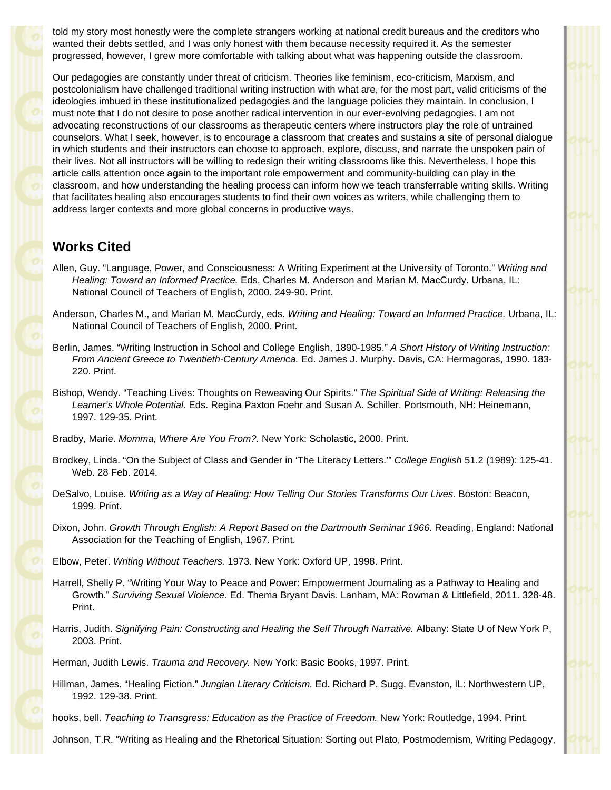told my story most honestly were the complete strangers working at national credit bureaus and the creditors who wanted their debts settled, and I was only honest with them because necessity required it. As the semester progressed, however, I grew more comfortable with talking about what was happening outside the classroom.

Our pedagogies are constantly under threat of criticism. Theories like feminism, eco-criticism, Marxism, and postcolonialism have challenged traditional writing instruction with what are, for the most part, valid criticisms of the ideologies imbued in these institutionalized pedagogies and the language policies they maintain. In conclusion, I must note that I do not desire to pose another radical intervention in our ever-evolving pedagogies. I am not advocating reconstructions of our classrooms as therapeutic centers where instructors play the role of untrained counselors. What I seek, however, is to encourage a classroom that creates and sustains a site of personal dialogue in which students and their instructors can choose to approach, explore, discuss, and narrate the unspoken pain of their lives. Not all instructors will be willing to redesign their writing classrooms like this. Nevertheless, I hope this article calls attention once again to the important role empowerment and community-building can play in the classroom, and how understanding the healing process can inform how we teach transferrable writing skills. Writing that facilitates healing also encourages students to find their own voices as writers, while challenging them to address larger contexts and more global concerns in productive ways.

## **Works Cited**

- Allen, Guy. "Language, Power, and Consciousness: A Writing Experiment at the University of Toronto." *Writing and Healing: Toward an Informed Practice.* Eds. Charles M. Anderson and Marian M. MacCurdy. Urbana, IL: National Council of Teachers of English, 2000. 249-90. Print.
- Anderson, Charles M., and Marian M. MacCurdy, eds. *Writing and Healing: Toward an Informed Practice.* Urbana, IL: National Council of Teachers of English, 2000. Print.
- Berlin, James. "Writing Instruction in School and College English, 1890-1985." *A Short History of Writing Instruction: From Ancient Greece to Twentieth-Century America.* Ed. James J. Murphy. Davis, CA: Hermagoras, 1990. 183- 220. Print.
- Bishop, Wendy. "Teaching Lives: Thoughts on Reweaving Our Spirits." *The Spiritual Side of Writing: Releasing the Learner's Whole Potential.* Eds. Regina Paxton Foehr and Susan A. Schiller. Portsmouth, NH: Heinemann, 1997. 129-35. Print.
- Bradby, Marie. *Momma, Where Are You From?.* New York: Scholastic, 2000. Print.
- Brodkey, Linda. "On the Subject of Class and Gender in 'The Literacy Letters.'" *College English* 51.2 (1989): 125-41. Web. 28 Feb. 2014.
- DeSalvo, Louise. *Writing as a Way of Healing: How Telling Our Stories Transforms Our Lives.* Boston: Beacon, 1999. Print.
- Dixon, John. *Growth Through English: A Report Based on the Dartmouth Seminar 1966.* Reading, England: National Association for the Teaching of English, 1967. Print.
- Elbow, Peter. *Writing Without Teachers.* 1973. New York: Oxford UP, 1998. Print.
- Harrell, Shelly P. "Writing Your Way to Peace and Power: Empowerment Journaling as a Pathway to Healing and Growth." *Surviving Sexual Violence.* Ed. Thema Bryant Davis. Lanham, MA: Rowman & Littlefield, 2011. 328-48. Print.
- Harris, Judith. *Signifying Pain: Constructing and Healing the Self Through Narrative.* Albany: State U of New York P, 2003. Print.

Herman, Judith Lewis. *Trauma and Recovery.* New York: Basic Books, 1997. Print.

- Hillman, James. "Healing Fiction." *Jungian Literary Criticism.* Ed. Richard P. Sugg. Evanston, IL: Northwestern UP, 1992. 129-38. Print.
- hooks, bell. *Teaching to Transgress: Education as the Practice of Freedom.* New York: Routledge, 1994. Print.

Johnson, T.R. "Writing as Healing and the Rhetorical Situation: Sorting out Plato, Postmodernism, Writing Pedagogy,